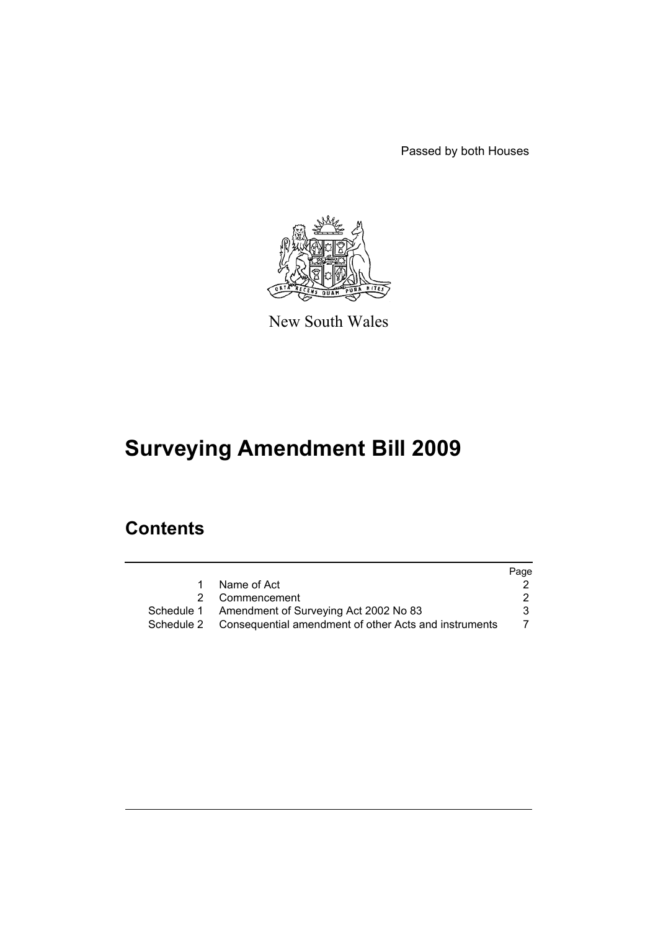Passed by both Houses



New South Wales

# **Surveying Amendment Bill 2009**

# **Contents**

|                                                                  | Page |
|------------------------------------------------------------------|------|
| Name of Act                                                      |      |
| 2 Commencement                                                   |      |
| Schedule 1 Amendment of Surveying Act 2002 No 83                 |      |
| Schedule 2 Consequential amendment of other Acts and instruments |      |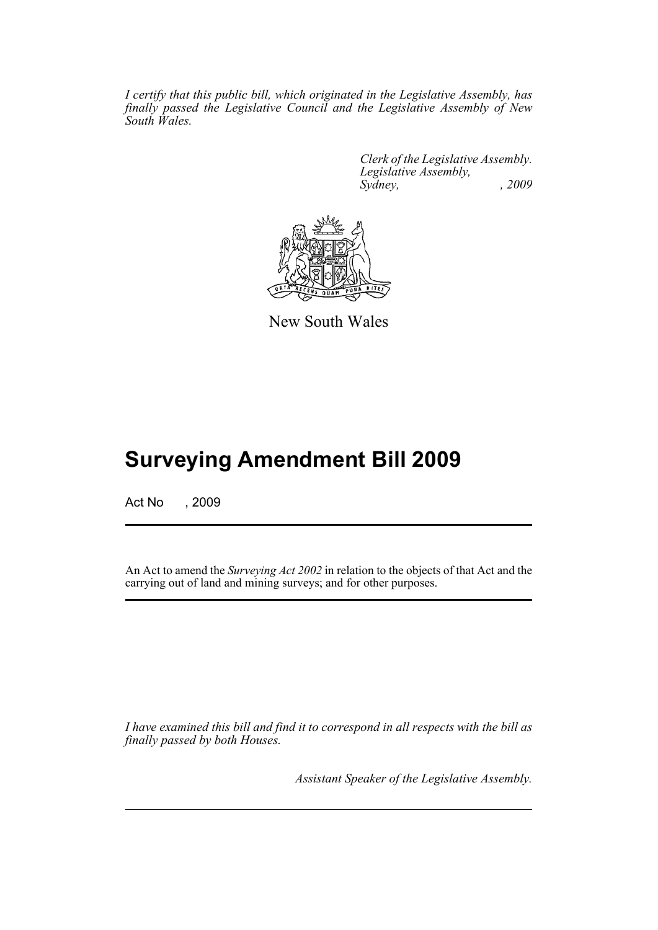*I certify that this public bill, which originated in the Legislative Assembly, has finally passed the Legislative Council and the Legislative Assembly of New South Wales.*

> *Clerk of the Legislative Assembly. Legislative Assembly, Sydney, , 2009*



New South Wales

# **Surveying Amendment Bill 2009**

Act No , 2009

An Act to amend the *Surveying Act 2002* in relation to the objects of that Act and the carrying out of land and mining surveys; and for other purposes.

*I have examined this bill and find it to correspond in all respects with the bill as finally passed by both Houses.*

*Assistant Speaker of the Legislative Assembly.*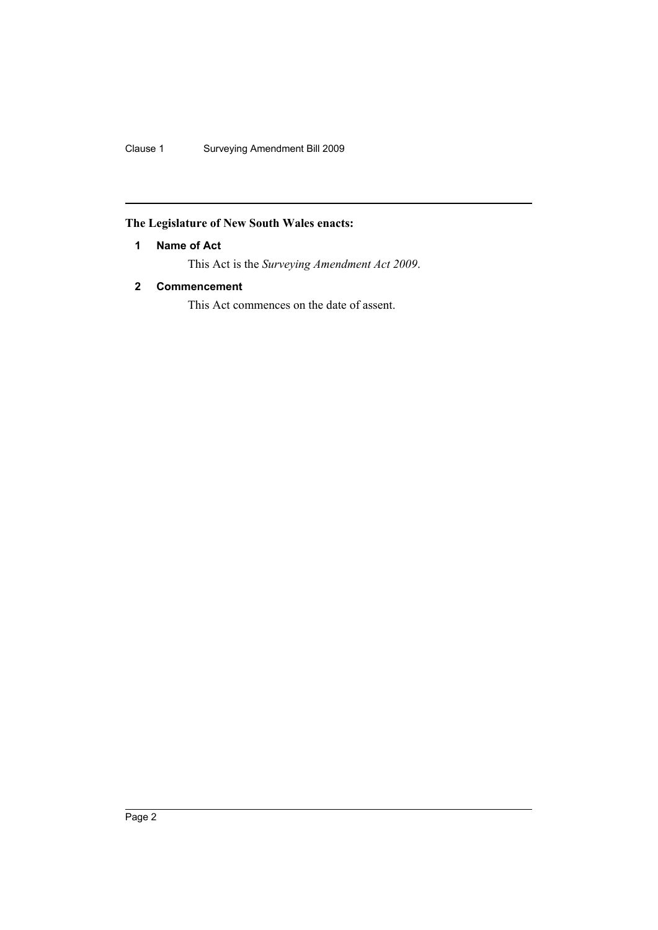Clause 1 Surveying Amendment Bill 2009

## <span id="page-3-0"></span>**The Legislature of New South Wales enacts:**

## **1 Name of Act**

This Act is the *Surveying Amendment Act 2009*.

## <span id="page-3-1"></span>**2 Commencement**

This Act commences on the date of assent.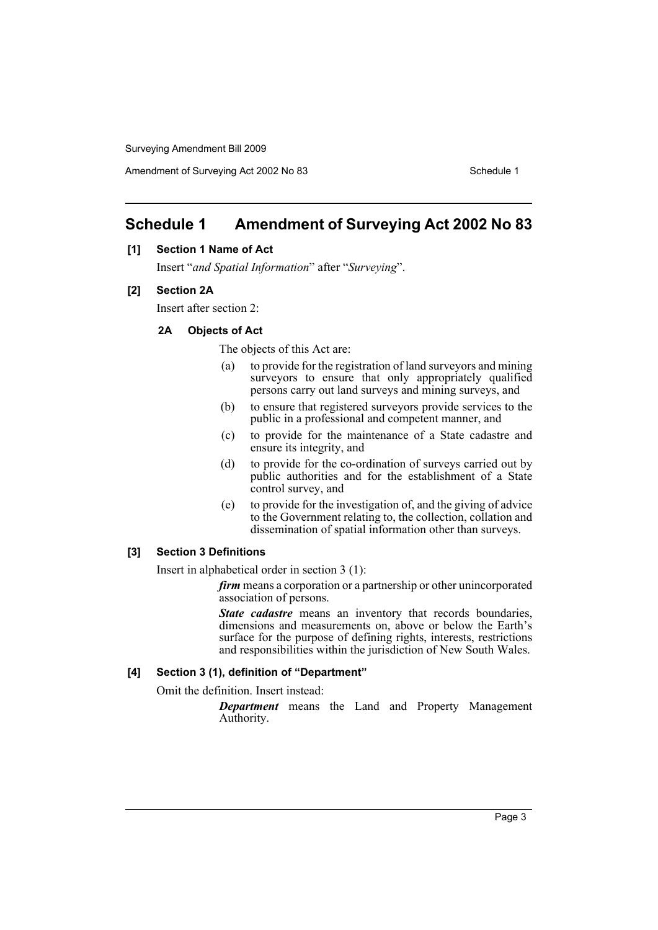# <span id="page-4-0"></span>**Schedule 1 Amendment of Surveying Act 2002 No 83**

#### **[1] Section 1 Name of Act**

Insert "*and Spatial Information*" after "*Surveying*".

#### **[2] Section 2A**

Insert after section 2:

#### **2A Objects of Act**

The objects of this Act are:

- (a) to provide for the registration of land surveyors and mining surveyors to ensure that only appropriately qualified persons carry out land surveys and mining surveys, and
- (b) to ensure that registered surveyors provide services to the public in a professional and competent manner, and
- (c) to provide for the maintenance of a State cadastre and ensure its integrity, and
- (d) to provide for the co-ordination of surveys carried out by public authorities and for the establishment of a State control survey, and
- (e) to provide for the investigation of, and the giving of advice to the Government relating to, the collection, collation and dissemination of spatial information other than surveys.

#### **[3] Section 3 Definitions**

Insert in alphabetical order in section 3 (1):

*firm* means a corporation or a partnership or other unincorporated association of persons.

*State cadastre* means an inventory that records boundaries, dimensions and measurements on, above or below the Earth's surface for the purpose of defining rights, interests, restrictions and responsibilities within the jurisdiction of New South Wales.

#### **[4] Section 3 (1), definition of "Department"**

Omit the definition. Insert instead:

*Department* means the Land and Property Management Authority.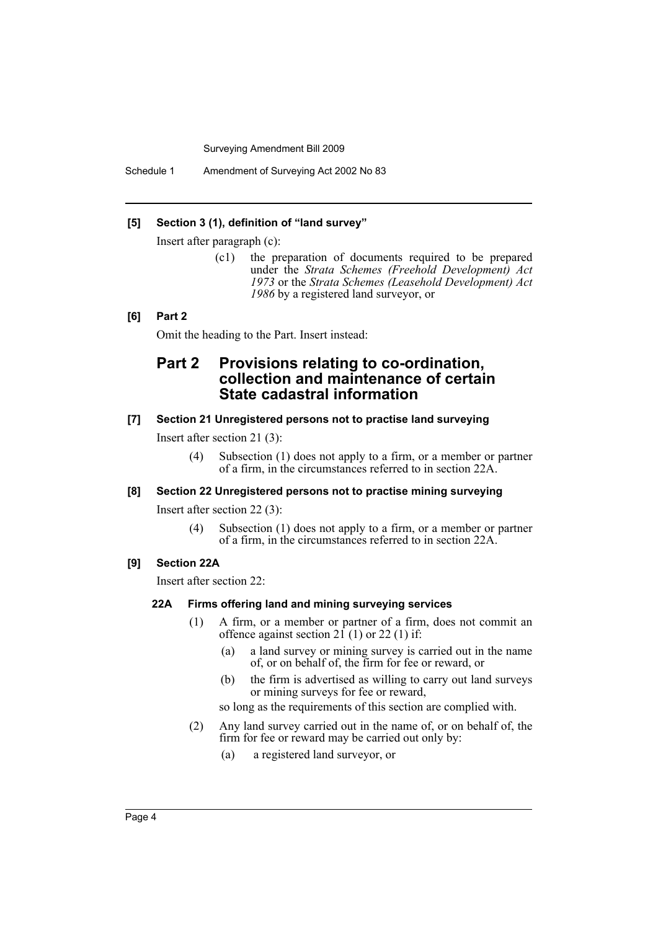Schedule 1 Amendment of Surveying Act 2002 No 83

#### **[5] Section 3 (1), definition of "land survey"**

Insert after paragraph (c):

(c1) the preparation of documents required to be prepared under the *Strata Schemes (Freehold Development) Act 1973* or the *Strata Schemes (Leasehold Development) Act 1986* by a registered land surveyor, or

## **[6] Part 2**

Omit the heading to the Part. Insert instead:

# **Part 2 Provisions relating to co-ordination, collection and maintenance of certain State cadastral information**

## **[7] Section 21 Unregistered persons not to practise land surveying**

Insert after section 21 (3):

(4) Subsection (1) does not apply to a firm, or a member or partner of a firm, in the circumstances referred to in section 22A.

#### **[8] Section 22 Unregistered persons not to practise mining surveying**

Insert after section 22 (3):

(4) Subsection (1) does not apply to a firm, or a member or partner of a firm, in the circumstances referred to in section 22A.

## **[9] Section 22A**

Insert after section 22:

#### **22A Firms offering land and mining surveying services**

- (1) A firm, or a member or partner of a firm, does not commit an offence against section  $2\overline{1}$  (1) or 22 (1) if:
	- (a) a land survey or mining survey is carried out in the name of, or on behalf of, the firm for fee or reward, or
	- (b) the firm is advertised as willing to carry out land surveys or mining surveys for fee or reward,

so long as the requirements of this section are complied with.

- (2) Any land survey carried out in the name of, or on behalf of, the firm for fee or reward may be carried out only by:
	- (a) a registered land surveyor, or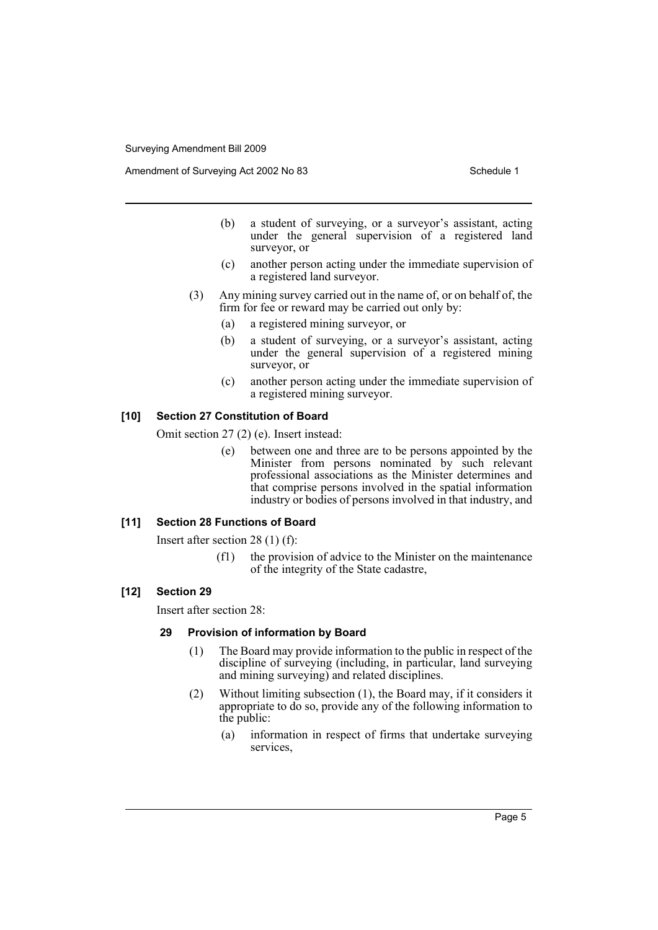Amendment of Surveying Act 2002 No 83 Schedule 1

- (b) a student of surveying, or a surveyor's assistant, acting under the general supervision of a registered land surveyor, or
- (c) another person acting under the immediate supervision of a registered land surveyor.
- (3) Any mining survey carried out in the name of, or on behalf of, the firm for fee or reward may be carried out only by:
	- (a) a registered mining surveyor, or
	- (b) a student of surveying, or a surveyor's assistant, acting under the general supervision of a registered mining surveyor, or
	- (c) another person acting under the immediate supervision of a registered mining surveyor.

## **[10] Section 27 Constitution of Board**

Omit section 27 (2) (e). Insert instead:

(e) between one and three are to be persons appointed by the Minister from persons nominated by such relevant professional associations as the Minister determines and that comprise persons involved in the spatial information industry or bodies of persons involved in that industry, and

#### **[11] Section 28 Functions of Board**

Insert after section 28 (1) (f):

(f1) the provision of advice to the Minister on the maintenance of the integrity of the State cadastre,

#### **[12] Section 29**

Insert after section 28:

#### **29 Provision of information by Board**

- (1) The Board may provide information to the public in respect of the discipline of surveying (including, in particular, land surveying and mining surveying) and related disciplines.
- (2) Without limiting subsection (1), the Board may, if it considers it appropriate to do so, provide any of the following information to the public:
	- (a) information in respect of firms that undertake surveying services,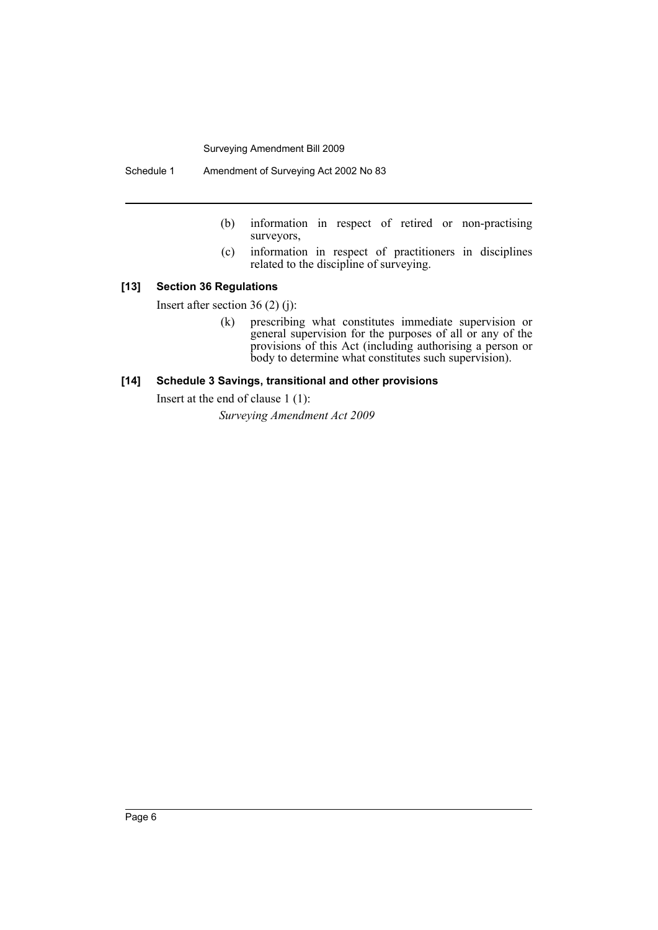Schedule 1 Amendment of Surveying Act 2002 No 83

- (b) information in respect of retired or non-practising surveyors,
- (c) information in respect of practitioners in disciplines related to the discipline of surveying.

## **[13] Section 36 Regulations**

Insert after section 36 (2) (j):

(k) prescribing what constitutes immediate supervision or general supervision for the purposes of all or any of the provisions of this Act (including authorising a person or body to determine what constitutes such supervision).

#### **[14] Schedule 3 Savings, transitional and other provisions**

Insert at the end of clause 1 (1):

*Surveying Amendment Act 2009*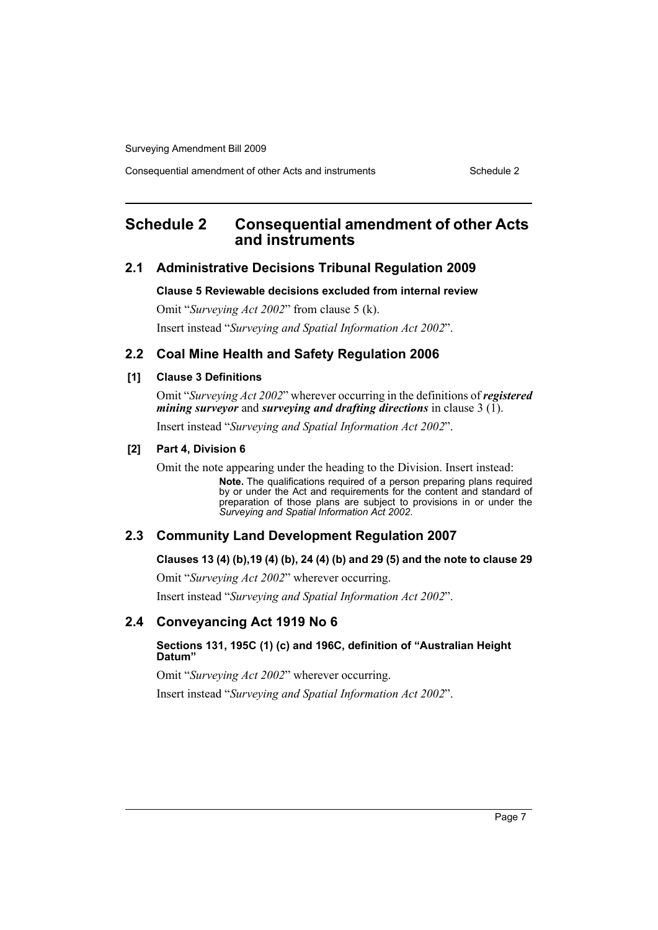Consequential amendment of other Acts and instruments Schedule 2

# <span id="page-8-0"></span>**Schedule 2 Consequential amendment of other Acts and instruments**

## **2.1 Administrative Decisions Tribunal Regulation 2009**

#### **Clause 5 Reviewable decisions excluded from internal review**

Omit "*Surveying Act 2002*" from clause 5 (k).

Insert instead "*Surveying and Spatial Information Act 2002*".

## **2.2 Coal Mine Health and Safety Regulation 2006**

#### **[1] Clause 3 Definitions**

Omit "*Surveying Act 2002*" wherever occurring in the definitions of *registered mining surveyor* and *surveying and drafting directions* in clause 3 (1).

Insert instead "*Surveying and Spatial Information Act 2002*".

#### **[2] Part 4, Division 6**

Omit the note appearing under the heading to the Division. Insert instead:

**Note.** The qualifications required of a person preparing plans required by or under the Act and requirements for the content and standard of preparation of those plans are subject to provisions in or under the *Surveying and Spatial Information Act 2002*.

## **2.3 Community Land Development Regulation 2007**

## **Clauses 13 (4) (b),19 (4) (b), 24 (4) (b) and 29 (5) and the note to clause 29**

Omit "*Surveying Act 2002*" wherever occurring. Insert instead "*Surveying and Spatial Information Act 2002*".

## **2.4 Conveyancing Act 1919 No 6**

## **Sections 131, 195C (1) (c) and 196C, definition of "Australian Height Datum"**

Omit "*Surveying Act 2002*" wherever occurring.

Insert instead "*Surveying and Spatial Information Act 2002*".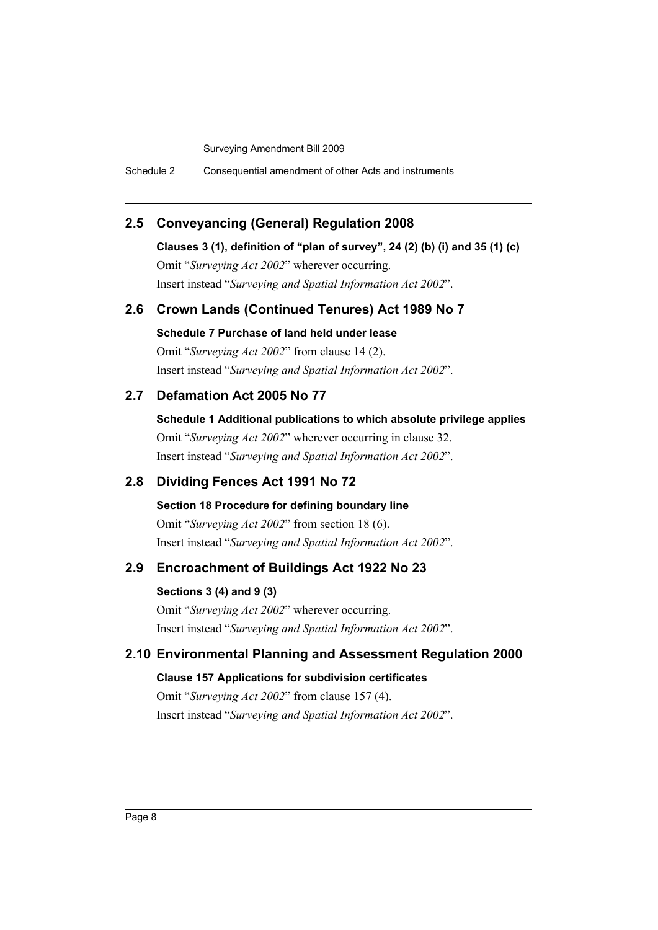Schedule 2 Consequential amendment of other Acts and instruments

# **2.5 Conveyancing (General) Regulation 2008**

**Clauses 3 (1), definition of "plan of survey", 24 (2) (b) (i) and 35 (1) (c)** Omit "*Surveying Act 2002*" wherever occurring.

Insert instead "*Surveying and Spatial Information Act 2002*".

## **2.6 Crown Lands (Continued Tenures) Act 1989 No 7**

**Schedule 7 Purchase of land held under lease** Omit "*Surveying Act 2002*" from clause 14 (2). Insert instead "*Surveying and Spatial Information Act 2002*".

## **2.7 Defamation Act 2005 No 77**

**Schedule 1 Additional publications to which absolute privilege applies** Omit "*Surveying Act 2002*" wherever occurring in clause 32. Insert instead "*Surveying and Spatial Information Act 2002*".

# **2.8 Dividing Fences Act 1991 No 72**

**Section 18 Procedure for defining boundary line** Omit "*Surveying Act 2002*" from section 18 (6). Insert instead "*Surveying and Spatial Information Act 2002*".

# **2.9 Encroachment of Buildings Act 1922 No 23**

**Sections 3 (4) and 9 (3)** Omit "*Surveying Act 2002*" wherever occurring. Insert instead "*Surveying and Spatial Information Act 2002*".

## **2.10 Environmental Planning and Assessment Regulation 2000**

**Clause 157 Applications for subdivision certificates**

Omit "*Surveying Act 2002*" from clause 157 (4). Insert instead "*Surveying and Spatial Information Act 2002*".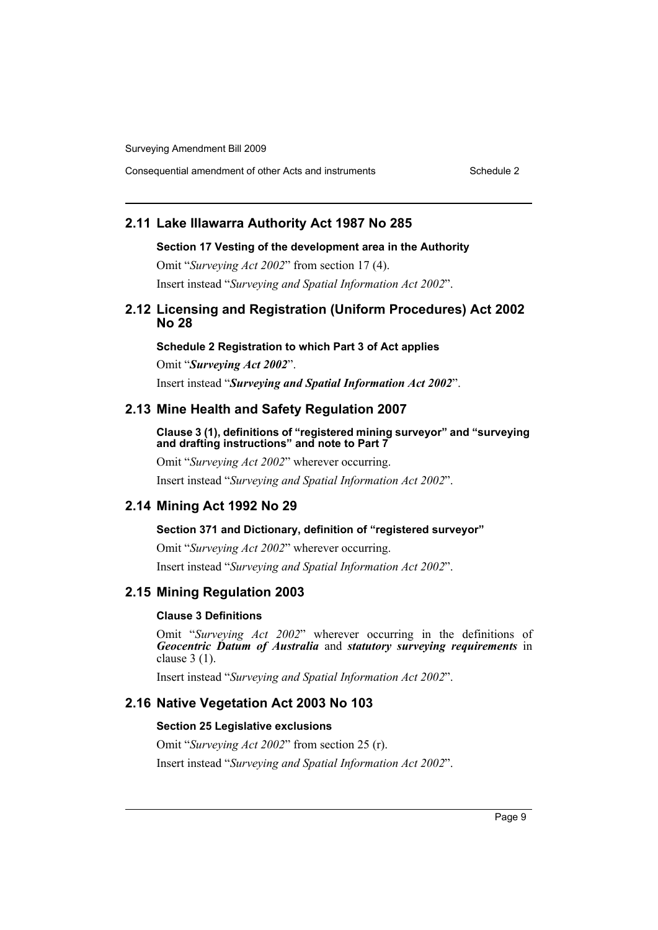Consequential amendment of other Acts and instruments Schedule 2

## **2.11 Lake Illawarra Authority Act 1987 No 285**

#### **Section 17 Vesting of the development area in the Authority**

Omit "*Surveying Act 2002*" from section 17 (4). Insert instead "*Surveying and Spatial Information Act 2002*".

## **2.12 Licensing and Registration (Uniform Procedures) Act 2002 No 28**

**Schedule 2 Registration to which Part 3 of Act applies**

Omit "*Surveying Act 2002*". Insert instead "*Surveying and Spatial Information Act 2002*".

## **2.13 Mine Health and Safety Regulation 2007**

**Clause 3 (1), definitions of "registered mining surveyor" and "surveying and drafting instructions" and note to Part 7**

Omit "*Surveying Act 2002*" wherever occurring. Insert instead "*Surveying and Spatial Information Act 2002*".

## **2.14 Mining Act 1992 No 29**

## **Section 371 and Dictionary, definition of "registered surveyor"**

Omit "*Surveying Act 2002*" wherever occurring. Insert instead "*Surveying and Spatial Information Act 2002*".

## **2.15 Mining Regulation 2003**

#### **Clause 3 Definitions**

Omit "*Surveying Act 2002*" wherever occurring in the definitions of *Geocentric Datum of Australia* and *statutory surveying requirements* in clause 3 (1).

Insert instead "*Surveying and Spatial Information Act 2002*".

## **2.16 Native Vegetation Act 2003 No 103**

#### **Section 25 Legislative exclusions**

Omit "*Surveying Act 2002*" from section 25 (r).

Insert instead "*Surveying and Spatial Information Act 2002*".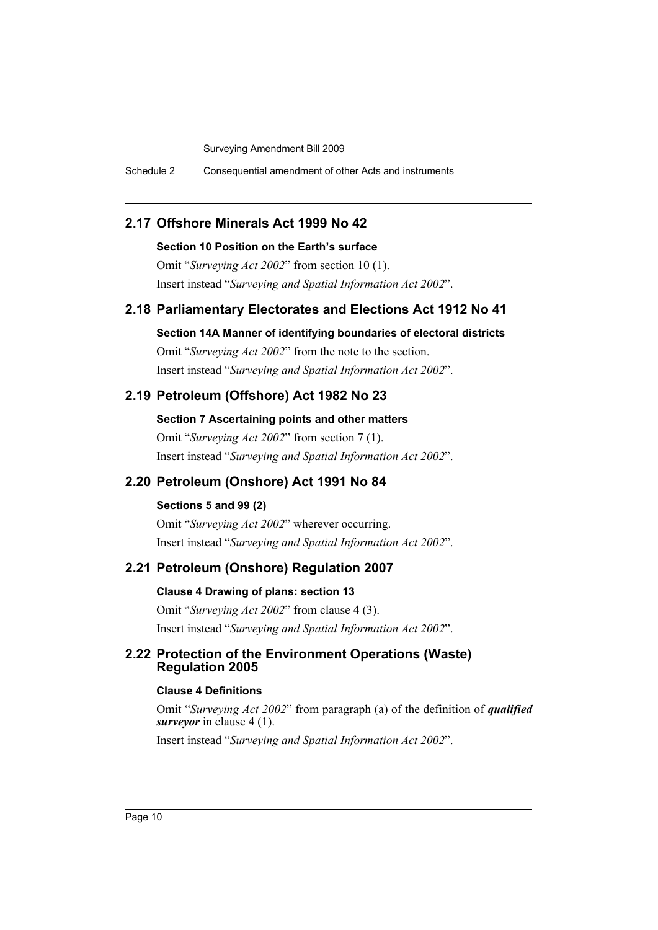Schedule 2 Consequential amendment of other Acts and instruments

## **2.17 Offshore Minerals Act 1999 No 42**

#### **Section 10 Position on the Earth's surface**

Omit "*Surveying Act 2002*" from section 10 (1). Insert instead "*Surveying and Spatial Information Act 2002*".

## **2.18 Parliamentary Electorates and Elections Act 1912 No 41**

**Section 14A Manner of identifying boundaries of electoral districts**

Omit "*Surveying Act 2002*" from the note to the section. Insert instead "*Surveying and Spatial Information Act 2002*".

# **2.19 Petroleum (Offshore) Act 1982 No 23**

**Section 7 Ascertaining points and other matters**

Omit "*Surveying Act 2002*" from section 7 (1). Insert instead "*Surveying and Spatial Information Act 2002*".

# **2.20 Petroleum (Onshore) Act 1991 No 84**

## **Sections 5 and 99 (2)**

Omit "*Surveying Act 2002*" wherever occurring. Insert instead "*Surveying and Spatial Information Act 2002*".

# **2.21 Petroleum (Onshore) Regulation 2007**

# **Clause 4 Drawing of plans: section 13**

Omit "*Surveying Act 2002*" from clause 4 (3). Insert instead "*Surveying and Spatial Information Act 2002*".

## **2.22 Protection of the Environment Operations (Waste) Regulation 2005**

## **Clause 4 Definitions**

Omit "*Surveying Act 2002*" from paragraph (a) of the definition of *qualified surveyor* in clause 4 (1).

Insert instead "*Surveying and Spatial Information Act 2002*".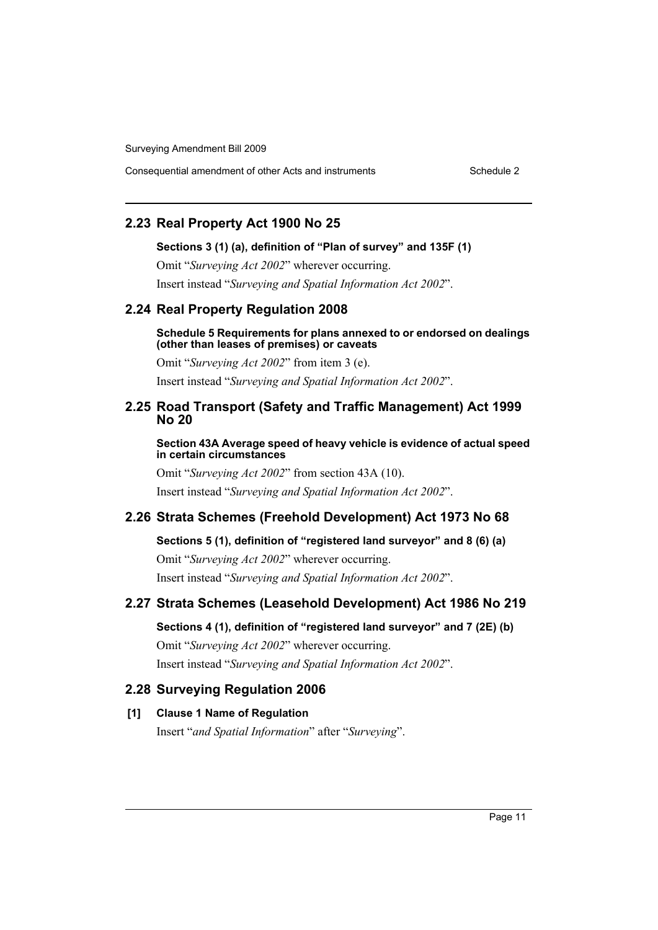Consequential amendment of other Acts and instruments Schedule 2

## **2.23 Real Property Act 1900 No 25**

#### **Sections 3 (1) (a), definition of "Plan of survey" and 135F (1)**

Omit "*Surveying Act 2002*" wherever occurring. Insert instead "*Surveying and Spatial Information Act 2002*".

## **2.24 Real Property Regulation 2008**

#### **Schedule 5 Requirements for plans annexed to or endorsed on dealings (other than leases of premises) or caveats**

Omit "*Surveying Act 2002*" from item 3 (e). Insert instead "*Surveying and Spatial Information Act 2002*".

## **2.25 Road Transport (Safety and Traffic Management) Act 1999 No 20**

**Section 43A Average speed of heavy vehicle is evidence of actual speed in certain circumstances**

Omit "*Surveying Act 2002*" from section 43A (10).

Insert instead "*Surveying and Spatial Information Act 2002*".

## **2.26 Strata Schemes (Freehold Development) Act 1973 No 68**

**Sections 5 (1), definition of "registered land surveyor" and 8 (6) (a)**

Omit "*Surveying Act 2002*" wherever occurring. Insert instead "*Surveying and Spatial Information Act 2002*".

## **2.27 Strata Schemes (Leasehold Development) Act 1986 No 219**

## **Sections 4 (1), definition of "registered land surveyor" and 7 (2E) (b)**

Omit "*Surveying Act 2002*" wherever occurring. Insert instead "*Surveying and Spatial Information Act 2002*".

## **2.28 Surveying Regulation 2006**

## **[1] Clause 1 Name of Regulation**

Insert "*and Spatial Information*" after "*Surveying*".